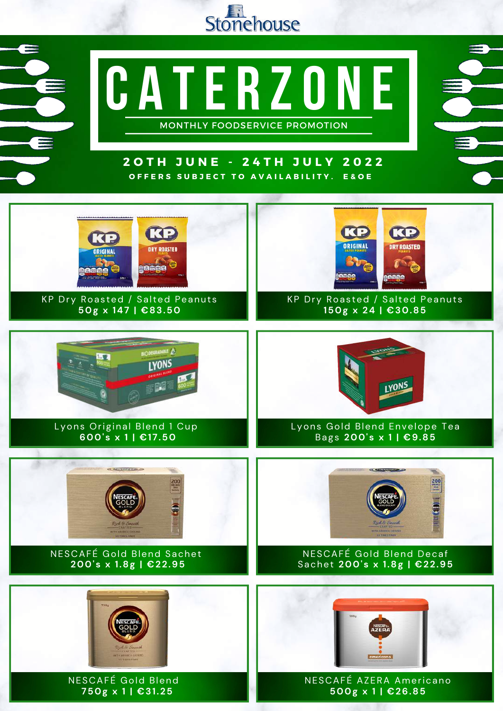

**C a te r zo n e**

MONTHLY FOODSERVICE PROMOTION

## **2 O T H J U N E - 2 4 T H J U L Y 2 0 2 2** OFFERS SUBJECT TO AVAILABILITY. E&OE

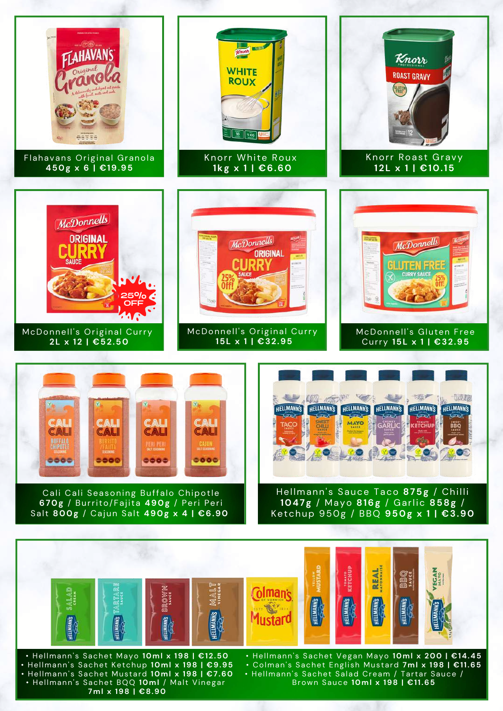

• Hel lmann' s Sachet BQQ **10ml** / Malt Vinegar **7ml x 198 | €8.90**

• Hellmann's Sachet Salad Cream / Tartar Sauce / Brown Sauce **10ml x 198 | €11.65**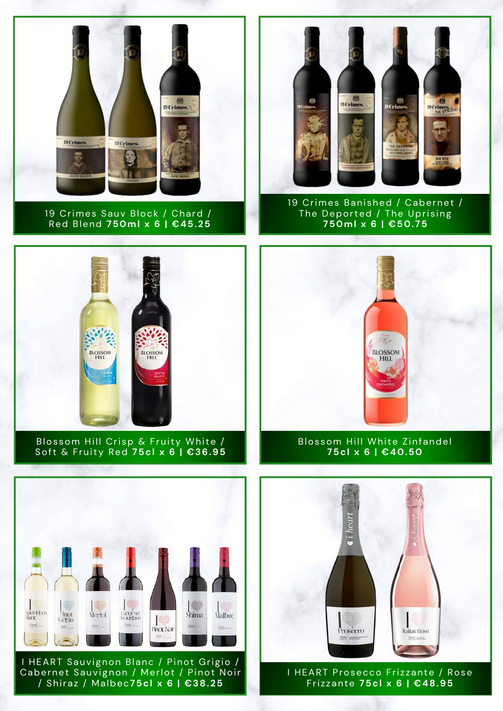

19 Crimes Sauv Block / Chard / Red Blend **750ml x 6 | €45.25**



19 Crimes Banished / Cabernet / The Deported / The Uprising **750ml x 6 | €50.75**



Blossom Hill Crisp & Fruity White / Soft & Fruity Red **75cl x 6 | €36.95**



Blossom Hill White Zinfandel **75cl x 6 | €40.50**



I HEART Sauvignon Blanc / Pinot Grigio / Cabernet Sauvignon / Merlot / Pinot Noir / Shiraz / Malbec**75cl x 6 | €38.25**



I HEART Prosecco Frizzante / Rose Fri z zante **75cl x 6 | €48.95**